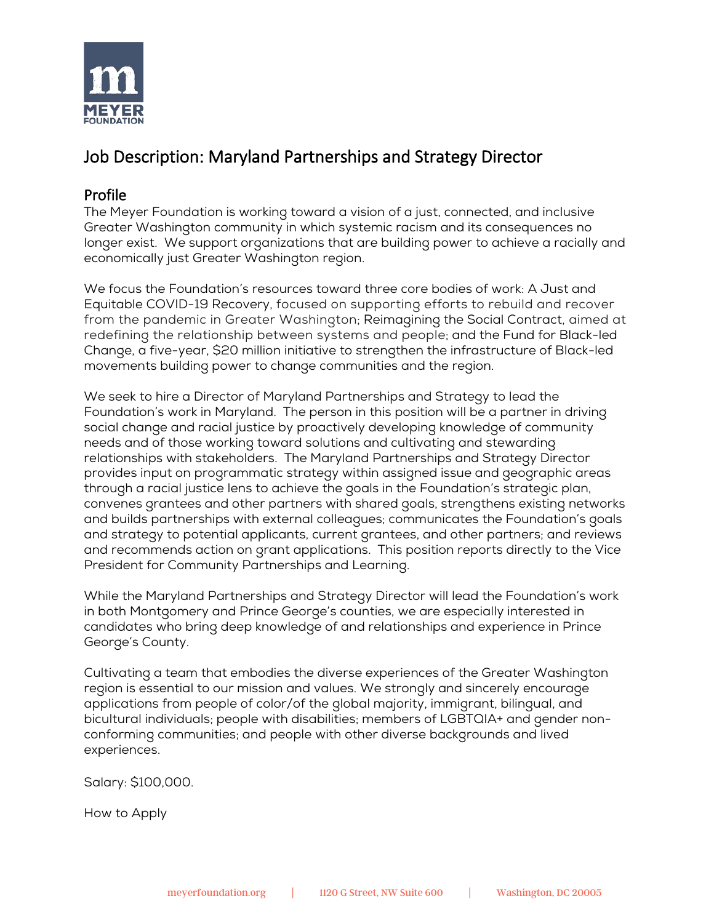

# Job Description: Maryland Partnerships and Strategy Director

### Profile

The Meyer Foundation is working toward a vision of a just, connected, and inclusive Greater Washington community in which systemic racism and its consequences no longer exist. We support organizations that are building power to achieve a racially and economically just Greater Washington region.

We focus the Foundation's resources toward three core bodies of work: A Just and Equitable COVID-19 Recovery, focused on supporting efforts to rebuild and recover from the pandemic in Greater Washington; Reimagining the Social Contract, aimed at redefining the relationship between systems and people; and the Fund for Black-led Change, a five-year, \$20 million initiative to strengthen the infrastructure of Black-led movements building power to change communities and the region.

We seek to hire a Director of Maryland Partnerships and Strategy to lead the Foundation's work in Maryland. The person in this position will be a partner in driving social change and racial justice by proactively developing knowledge of community needs and of those working toward solutions and cultivating and stewarding relationships with stakeholders. The Maryland Partnerships and Strategy Director provides input on programmatic strategy within assigned issue and geographic areas through a racial justice lens to achieve the goals in the Foundation's strategic plan, convenes grantees and other partners with shared goals, strengthens existing networks and builds partnerships with external colleagues; communicates the Foundation's goals and strategy to potential applicants, current grantees, and other partners; and reviews and recommends action on grant applications. This position reports directly to the Vice President for Community Partnerships and Learning.

While the Maryland Partnerships and Strategy Director will lead the Foundation's work in both Montgomery and Prince George's counties, we are especially interested in candidates who bring deep knowledge of and relationships and experience in Prince George's County.

Cultivating a team that embodies the diverse experiences of the Greater Washington region is essential to our mission and values. We strongly and sincerely encourage applications from people of color/of the global majority, immigrant, bilingual, and bicultural individuals; people with disabilities; members of LGBTQIA+ and gender nonconforming communities; and people with other diverse backgrounds and lived experiences.

Salary: \$100,000.

How to Apply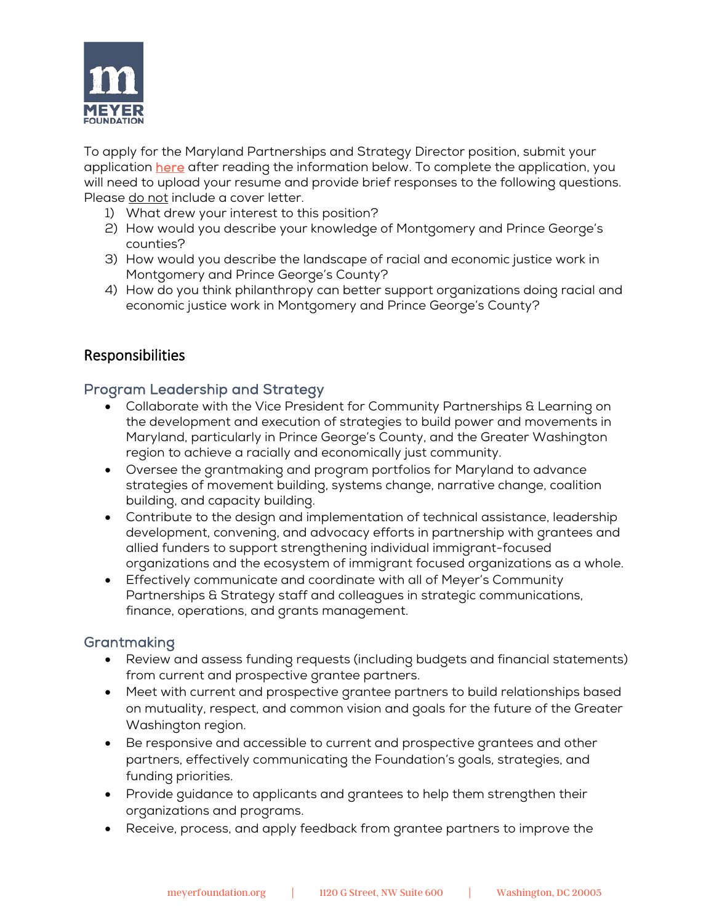

To apply for the Maryland Partnerships and Strategy Director position, submit your application [here](https://www.surveymonkey.com/r/SDKMKQ6) after reading the information below. To complete the application, you will need to upload your resume and provide brief responses to the following questions. Please do not include a cover letter.

- 1) What drew your interest to this position?
- 2) How would you describe your knowledge of Montgomery and Prince George's counties?
- 3) How would you describe the landscape of racial and economic justice work in Montgomery and Prince George's County?
- 4) How do you think philanthropy can better support organizations doing racial and economic justice work in Montgomery and Prince George's County?

# Responsibilities

## Program Leadership and Strategy

- Collaborate with the Vice President for Community Partnerships & Learning on the development and execution of strategies to build power and movements in Maryland, particularly in Prince George's County, and the Greater Washington region to achieve a racially and economically just community.
- Oversee the grantmaking and program portfolios for Maryland to advance strategies of movement building, systems change, narrative change, coalition building, and capacity building.
- Contribute to the design and implementation of technical assistance, leadership development, convening, and advocacy efforts in partnership with grantees and allied funders to support strengthening individual immigrant-focused organizations and the ecosystem of immigrant focused organizations as a whole.
- Effectively communicate and coordinate with all of Meyer's Community Partnerships & Strategy staff and colleagues in strategic communications, finance, operations, and grants management.

## Grantmaking

- Review and assess funding requests (including budgets and financial statements) from current and prospective grantee partners.
- Meet with current and prospective grantee partners to build relationships based on mutuality, respect, and common vision and goals for the future of the Greater Washington region.
- Be responsive and accessible to current and prospective grantees and other partners, effectively communicating the Foundation's goals, strategies, and funding priorities.
- Provide guidance to applicants and grantees to help them strengthen their organizations and programs.
- Receive, process, and apply feedback from grantee partners to improve the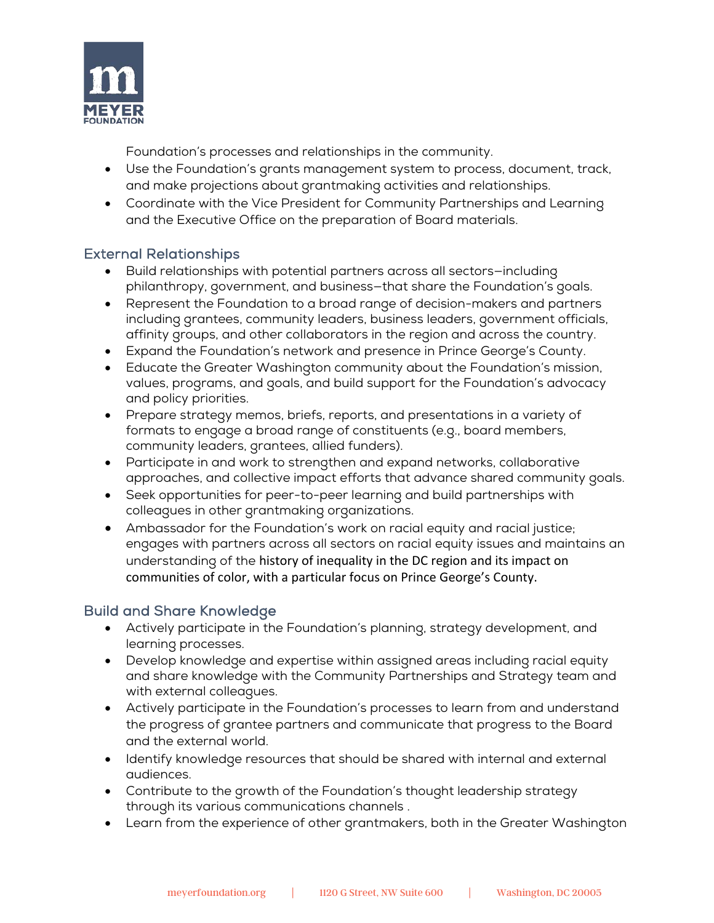

Foundation's processes and relationships in the community.

- Use the Foundation's grants management system to process, document, track, and make projections about grantmaking activities and relationships.
- Coordinate with the Vice President for Community Partnerships and Learning and the Executive Office on the preparation of Board materials.

## External Relationships

- Build relationships with potential partners across all sectors—including philanthropy, government, and business—that share the Foundation's goals.
- Represent the Foundation to a broad range of decision-makers and partners including grantees, community leaders, business leaders, government officials, affinity groups, and other collaborators in the region and across the country.
- Expand the Foundation's network and presence in Prince George's County.
- Educate the Greater Washington community about the Foundation's mission, values, programs, and goals, and build support for the Foundation's advocacy and policy priorities.
- Prepare strategy memos, briefs, reports, and presentations in a variety of formats to engage a broad range of constituents (e.g., board members, community leaders, grantees, allied funders).
- Participate in and work to strengthen and expand networks, collaborative approaches, and collective impact efforts that advance shared community goals.
- Seek opportunities for peer-to-peer learning and build partnerships with colleagues in other grantmaking organizations.
- Ambassador for the Foundation's work on racial equity and racial justice; engages with partners across all sectors on racial equity issues and maintains an understanding of the history of inequality in the DC region and its impact on communities of color, with a particular focus on Prince George's County.

## Build and Share Knowledge

- Actively participate in the Foundation's planning, strategy development, and learning processes.
- Develop knowledge and expertise within assigned areas including racial equity and share knowledge with the Community Partnerships and Strategy team and with external colleagues.
- Actively participate in the Foundation's processes to learn from and understand the progress of grantee partners and communicate that progress to the Board and the external world.
- Identify knowledge resources that should be shared with internal and external audiences.
- Contribute to the growth of the Foundation's thought leadership strategy through its various communications channels .
- Learn from the experience of other grantmakers, both in the Greater Washington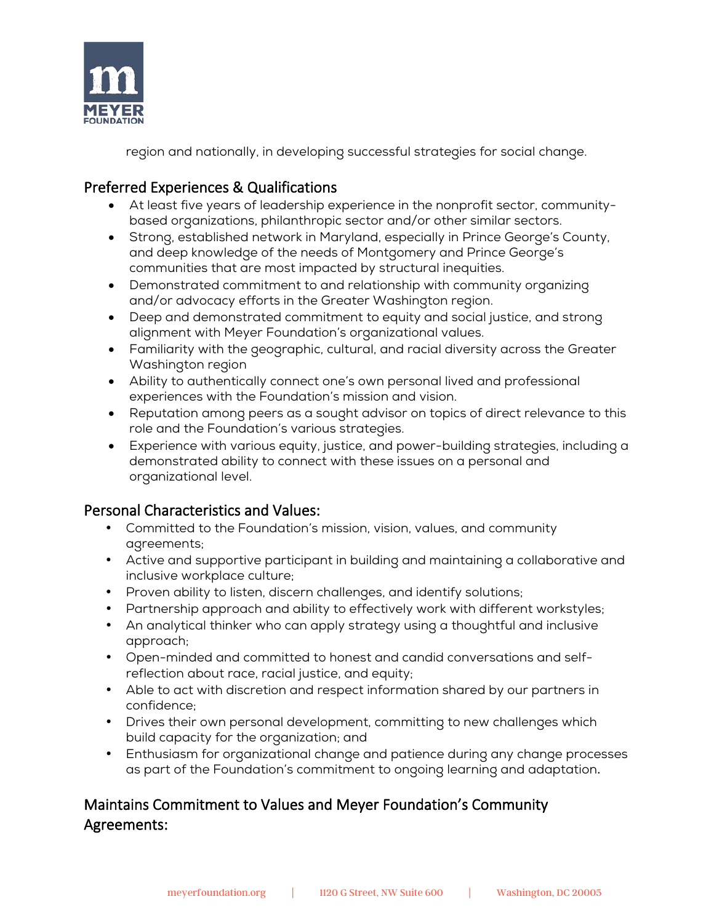

region and nationally, in developing successful strategies for social change.

# Preferred Experiences & Qualifications

- At least five years of leadership experience in the nonprofit sector, communitybased organizations, philanthropic sector and/or other similar sectors.
- Strong, established network in Maryland, especially in Prince George's County, and deep knowledge of the needs of Montgomery and Prince George's communities that are most impacted by structural inequities.
- Demonstrated commitment to and relationship with community organizing and/or advocacy efforts in the Greater Washington region.
- Deep and demonstrated commitment to equity and social justice, and strong alignment with Meyer Foundation's organizational values.
- Familiarity with the geographic, cultural, and racial diversity across the Greater Washington region
- Ability to authentically connect one's own personal lived and professional experiences with the Foundation's mission and vision.
- Reputation among peers as a sought advisor on topics of direct relevance to this role and the Foundation's various strategies.
- Experience with various equity, justice, and power-building strategies, including a demonstrated ability to connect with these issues on a personal and organizational level.

# Personal Characteristics and Values:

- Committed to the Foundation's mission, vision, values, and community agreements;
- Active and supportive participant in building and maintaining a collaborative and inclusive workplace culture;
- Proven ability to listen, discern challenges, and identify solutions;
- Partnership approach and ability to effectively work with different workstyles;
- An analytical thinker who can apply strategy using a thoughtful and inclusive approach;
- Open-minded and committed to honest and candid conversations and selfreflection about race, racial justice, and equity;
- Able to act with discretion and respect information shared by our partners in confidence;
- Drives their own personal development, committing to new challenges which build capacity for the organization; and
- Enthusiasm for organizational change and patience during any change processes as part of the Foundation's commitment to ongoing learning and adaptation**.**

# Maintains Commitment to Values and Meyer Foundation's Community Agreements: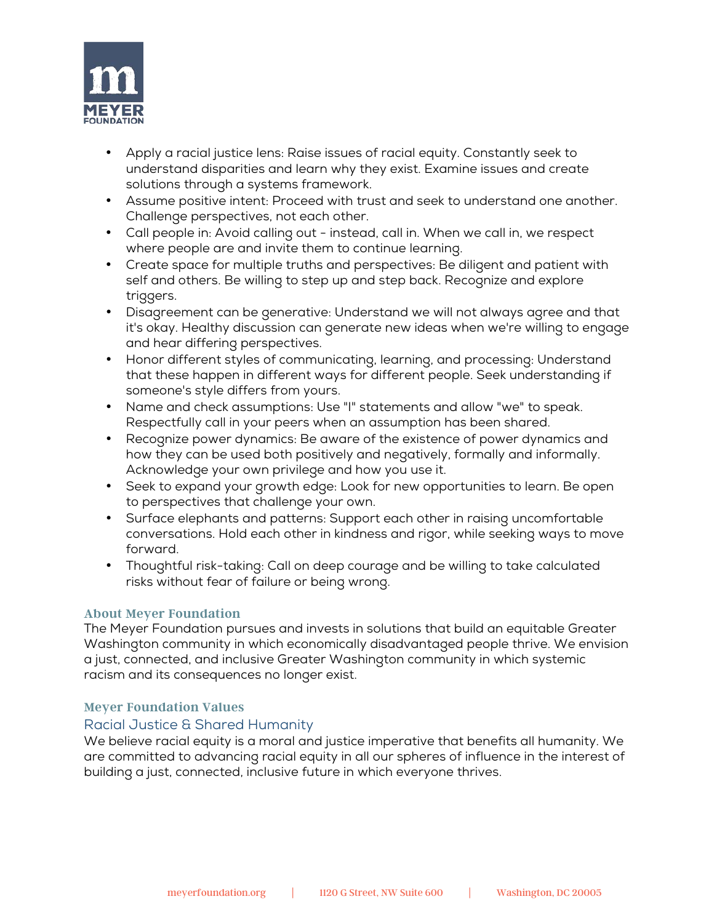

- Apply a racial justice lens: Raise issues of racial equity. Constantly seek to understand disparities and learn why they exist. Examine issues and create solutions through a systems framework.
- Assume positive intent: Proceed with trust and seek to understand one another. Challenge perspectives, not each other.
- Call people in: Avoid calling out instead, call in. When we call in, we respect where people are and invite them to continue learning.
- Create space for multiple truths and perspectives: Be diligent and patient with self and others. Be willing to step up and step back. Recognize and explore triggers.
- Disagreement can be generative: Understand we will not always agree and that it's okay. Healthy discussion can generate new ideas when we're willing to engage and hear differing perspectives.
- Honor different styles of communicating, learning, and processing: Understand that these happen in different ways for different people. Seek understanding if someone's style differs from yours.
- Name and check assumptions: Use "I" statements and allow "we" to speak. Respectfully call in your peers when an assumption has been shared.
- Recognize power dynamics: Be aware of the existence of power dynamics and how they can be used both positively and negatively, formally and informally. Acknowledge your own privilege and how you use it.
- Seek to expand your growth edge: Look for new opportunities to learn. Be open to perspectives that challenge your own.
- Surface elephants and patterns: Support each other in raising uncomfortable conversations. Hold each other in kindness and rigor, while seeking ways to move forward.
- Thoughtful risk-taking: Call on deep courage and be willing to take calculated risks without fear of failure or being wrong.

#### **About Meyer Foundation**

The Meyer Foundation pursues and invests in solutions that build an equitable Greater Washington community in which economically disadvantaged people thrive. We envision a just, connected, and inclusive Greater Washington community in which systemic racism and its consequences no longer exist.

#### **Meyer Foundation Values**

#### Racial Justice & Shared Humanity

We believe racial equity is a moral and justice imperative that benefits all humanity. We are committed to advancing racial equity in all our spheres of influence in the interest of building a just, connected, inclusive future in which everyone thrives.